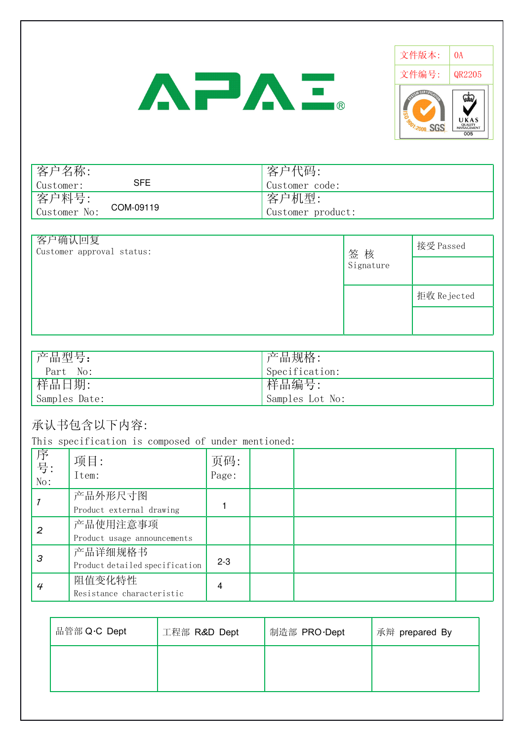# AFAE.



| 客户名称:<br>Customer:    | SFE       | 客户代码:<br>Customer code:    |
|-----------------------|-----------|----------------------------|
| 者字料号:<br>Customer No: | COM-09119 | 客户机型:<br>Customer product: |

| 客户确认回复<br>Customer approval status: | 签核        | 接受 Passed   |
|-------------------------------------|-----------|-------------|
|                                     | Signature |             |
|                                     |           | 拒收 Rejected |
|                                     |           |             |

| '产品型号:        | 字品规格:           |
|---------------|-----------------|
| Part No:      | Specification:  |
| 样品日期:         | 样品编号:           |
| Samples Date: | Samples Lot No: |

## 承认书包含以下内容:

This specification is composed of under mentioned:

| 序<br>号:<br>No: | 项目:<br>Item:                              | 页码:<br>Page: |  |  |
|----------------|-------------------------------------------|--------------|--|--|
|                | 产品外形尺寸图<br>Product external drawing       |              |  |  |
| 2              | 产品使用注意事项<br>Product usage announcements   |              |  |  |
| З              | 产品详细规格书<br>Product detailed specification | $2 - 3$      |  |  |
| 4              | 阻值变化特性<br>Resistance characteristic       | 4            |  |  |

| 品管部 Q·C Dept | 工程部 R&D Dept | 制造部 PRO·Dept | 承辩 prepared By |
|--------------|--------------|--------------|----------------|
|              |              |              |                |
|              |              |              |                |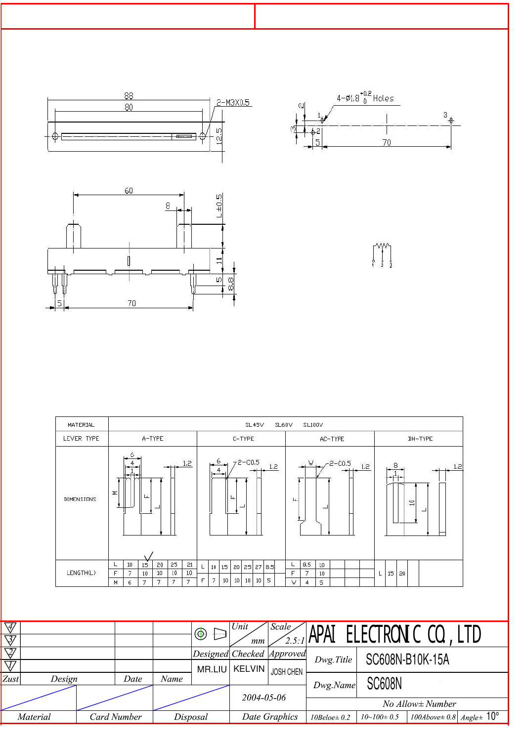

| MATERIAL   |                                                                                                                                         | SL <sub>45V</sub><br>SL60V<br>SL100V                                                           |                                               |                          |  |  |  |
|------------|-----------------------------------------------------------------------------------------------------------------------------------------|------------------------------------------------------------------------------------------------|-----------------------------------------------|--------------------------|--|--|--|
| LEVER TYPE | A-TYPE                                                                                                                                  | C-TYPE                                                                                         | AC-TYPE                                       | BH-TYPE                  |  |  |  |
| DIMENSIONS | 6<br>1.2<br>Σ<br>∥ü.                                                                                                                    | $72 - C0.5$<br>-6<br>$\frac{5}{11}$ 1.2<br>Ŀ                                                   | $W_1$ -2-C0.5<br>1.2<br>╙<br>-                | 8<br>1.2<br>$\Xi$<br>952 |  |  |  |
| LENGTH(L)  | 25<br>21<br>10<br>20<br>15 <sub>15</sub><br>L<br>10<br>10<br>7<br>F<br>10<br>10<br>$\overline{7}$<br>7<br>7<br>$\overline{7}$<br>6<br>M | 15 <sub>1</sub><br>20 25 27 8.5<br>10<br>ц<br>10<br>5<br>7<br>10 <sup>1</sup><br>10<br>E<br>10 | 8.5<br>10<br>┕<br>F<br>7<br>10<br>5<br>V<br>4 | 15<br>20<br>L            |  |  |  |

| $\overline{\mathcal{A}}$<br>$\overline{\triangledown}$ |          |                    |          | $\circledast$             | Unit<br>mm | Scale,             | <sup>11e</sup> APAI ELECTRON C CL |                  |                                                    |  |
|--------------------------------------------------------|----------|--------------------|----------|---------------------------|------------|--------------------|-----------------------------------|------------------|----------------------------------------------------|--|
| $\overline{\nabla\!\!\!\!Z'}$                          |          |                    |          | Designed Checked Approved |            |                    | Dwg.Title                         | SC608N-B10K-15A  |                                                    |  |
| $\bigtriangledown$                                     |          |                    |          | MR.LIU                    |            | I KELVIN JOSH CHEN |                                   |                  |                                                    |  |
| Zust                                                   | Design   | Date               | Name     |                           |            |                    | Dwg.Name                          | <b>SC608N</b>    |                                                    |  |
|                                                        |          |                    |          |                           | 2004-05-06 |                    |                                   |                  |                                                    |  |
|                                                        |          |                    |          |                           |            |                    |                                   |                  | $No$ Allow $\pm$ Number                            |  |
|                                                        | Material | <b>Card Number</b> | Disposal |                           |            | Date Graphics      | $10 Beloe \pm 0.2$                | $10~100 \pm 0.5$ | ' 100Above $\pm$ 0.8   Angle $\pm$ 10 <sup>o</sup> |  |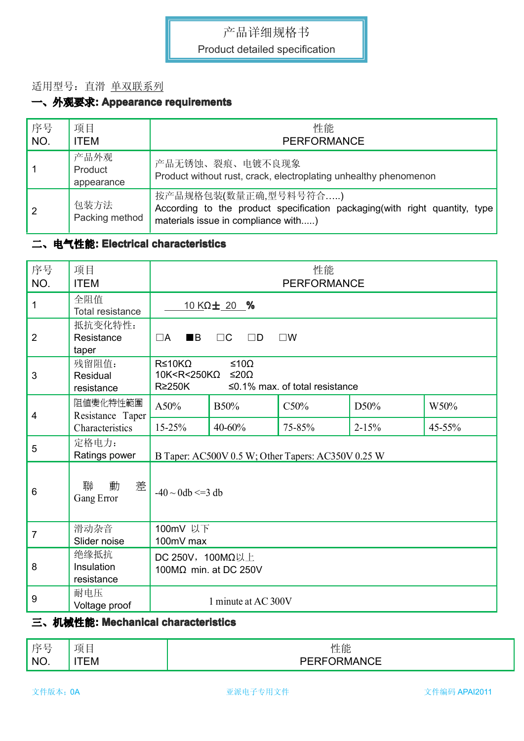#### 适用型号:直滑 单双联系列

## 一、外观要求**: Appearance Appearance requirements requirements**

| 序号<br>NO.      | 项目<br><b>ITEM</b>             | 性能<br><b>PERFORMANCE</b>                                                                                                                   |
|----------------|-------------------------------|--------------------------------------------------------------------------------------------------------------------------------------------|
|                | 产品外观<br>Product<br>appearance | 产品无锈蚀、裂痕、电镀不良现象<br>Product without rust, crack, electroplating unhealthy phenomenon                                                        |
| $\overline{2}$ | 包装方法<br>Packing method        | 按产品规格包装(数量正确,型号料号符合)<br>According to the product specification packaging (with right quantity, type<br>materials issue in compliance with) |

#### 二、电气性能**: Electrical Electrical characteristics characteristics**

| 序号<br>NO.      | 项目<br><b>ITEM</b>                | 性能<br><b>PERFORMANCE</b>                                          |                                                                                |        |           |        |
|----------------|----------------------------------|-------------------------------------------------------------------|--------------------------------------------------------------------------------|--------|-----------|--------|
| $\mathbf{1}$   | 全阻值<br>Total resistance          |                                                                   | 10 KΩ± 20 %                                                                    |        |           |        |
| $\overline{2}$ | 抵抗变化特性:<br>Resistance<br>taper   | $\blacksquare$<br>$\Box A$<br>$\Box C$<br>$\Box D$<br>$\square$ W |                                                                                |        |           |        |
| $\mathbf{3}$   | 残留阻值:<br>Residual<br>resistance  | $R \leq 10K\Omega$<br>$R\geq 250K$                                | ≤10Ω<br>$10K < R < 250K\Omega$<br>≤20Ω<br>$\leq$ 0.1% max. of total resistance |        |           |        |
| $\overline{4}$ | 阻值變化特性範圍<br>Resistance Taper     | A50%                                                              | B50%                                                                           | C50%   | D50%      | W50%   |
|                | Characteristics                  | $15 - 25%$                                                        | 40-60%                                                                         | 75-85% | $2 - 15%$ | 45-55% |
| 5              | 定格电力:<br>Ratings power           |                                                                   | B Taper: AC500V 0.5 W; Other Tapers: AC350V 0.25 W                             |        |           |        |
| 6              | 聯<br>動<br>差<br>Gang Error        | $-40 \sim 0$ db <=3 db                                            |                                                                                |        |           |        |
| $\overline{7}$ | 滑动杂音<br>Slider noise             | 100mV 以下<br>100mV max                                             |                                                                                |        |           |        |
| 8              | 绝缘抵抗<br>Insulation<br>resistance | DC 250V, 100MΩ以上<br>100MΩ min. at DC 250V                         |                                                                                |        |           |        |
| 9              | 耐电压<br>Voltage proof             |                                                                   | 1 minute at AC 300V                                                            |        |           |        |

#### 三、机械性能**: Mechanical Mechanical characteristics characteristics**

| 宝星  | 项<br>$\sim$ | 性能                                   |
|-----|-------------|--------------------------------------|
| NO. | ЕM          | $\cdots$<br>`` I\I .<br>$\mathbf{u}$ |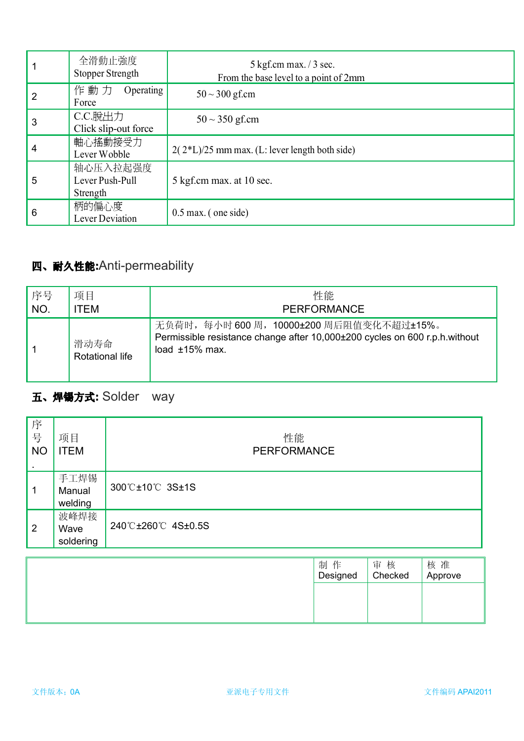|   | 全滑動止強度<br><b>Stopper Strength</b>       | $5$ kgf.cm max. $/3$ sec.<br>From the base level to a point of 2mm |
|---|-----------------------------------------|--------------------------------------------------------------------|
| 2 | 作動力 Operating<br>Force                  | $50 - 300$ gf.cm                                                   |
| 3 | C.C.脫出力<br>Click slip-out force         | $50 \sim 350$ gf.cm                                                |
| 4 | 軸心搖動接受力<br>Lever Wobble                 | $2(2*L)/25$ mm max. (L: lever length both side)                    |
| 5 | 轴心压入拉起强度<br>Lever Push-Pull<br>Strength | 5 kgf.cm max. at 10 sec.                                           |
| 6 | 柄的偏心度<br>Lever Deviation                | $0.5$ max. (one side)                                              |

## 四、耐久性能**:**Anti-permeability

| 序号  | 项目                             | 性能                                                                                                                                           |
|-----|--------------------------------|----------------------------------------------------------------------------------------------------------------------------------------------|
| NO. | TEM                            | <b>PERFORMANCE</b>                                                                                                                           |
|     | 滑动寿命<br><b>Rotational life</b> | 无负荷时, 每小时 600 周, 10000±200 周后阻值变化不超过±15%。<br>Permissible resistance change after 10,000±200 cycles on 600 r.p.h.without<br>load $±15\%$ max. |

## 五、焊锡方式**:** Solder way

| 序<br>号<br><b>NO</b> | 项目<br><b>ITEM</b>         | 性能<br>PERFORMANCE |
|---------------------|---------------------------|-------------------|
| $\overline{1}$      | 手工焊锡<br>Manual<br>welding | 300℃±10℃ 3S±1S    |
| $\vert$ 2           | 波峰焊接<br>Wave<br>soldering | 240℃±260℃ 4S±0.5S |

| 制作<br>Designed | 核<br>审<br>Checked | 核 准<br>Approve |
|----------------|-------------------|----------------|
|                |                   |                |
|                |                   |                |